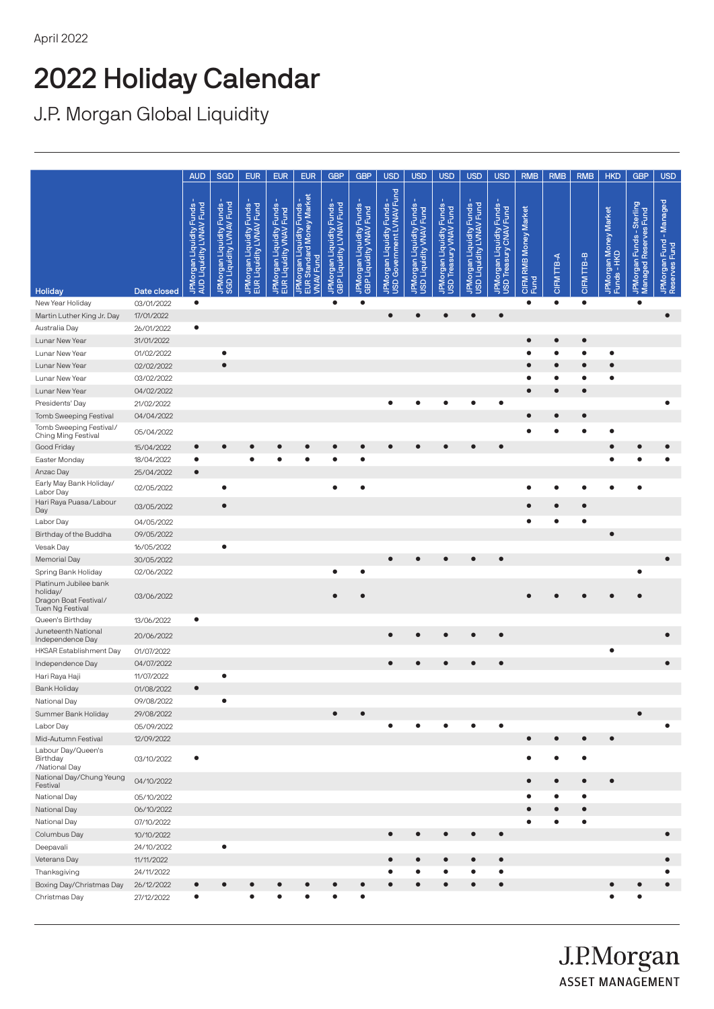## 2022 Holiday Calendar

J.P. Morgan Global Liquidity

|                                                                                |                          | <b>AUD</b>                                           | <b>SGD</b>                                           | <b>EUR</b>                                                     | <b>EUR</b>                                                    | <b>EUR</b>                                                                                 | <b>GBP</b>                                           | <b>GBP</b>                                          | <b>USD</b>                                                 | <b>USD</b>                                          | <b>USD</b>                                         | <b>USD</b>                                           | <b>USD</b>                                         | <b>RMB</b>                               | <b>RMB</b> | <b>RMB</b> | <b>HKD</b>                           | <b>GBP</b>                                         | <b>USD</b>                                    |
|--------------------------------------------------------------------------------|--------------------------|------------------------------------------------------|------------------------------------------------------|----------------------------------------------------------------|---------------------------------------------------------------|--------------------------------------------------------------------------------------------|------------------------------------------------------|-----------------------------------------------------|------------------------------------------------------------|-----------------------------------------------------|----------------------------------------------------|------------------------------------------------------|----------------------------------------------------|------------------------------------------|------------|------------|--------------------------------------|----------------------------------------------------|-----------------------------------------------|
|                                                                                |                          |                                                      |                                                      |                                                                |                                                               |                                                                                            |                                                      |                                                     | Fund                                                       |                                                     |                                                    |                                                      |                                                    |                                          |            |            |                                      |                                                    |                                               |
|                                                                                |                          | AUD Liquidity LVNAV Fund<br>JPMorgan Liquidity Funds | JPMorgan Liquidity Funds<br>SGD Liquidity LVNAV Fund | EUR Liquidity LVNAV Fund<br><b>Funds</b><br>JPMorgan Liquidity | rFunds -<br>TFund<br>JPMorgan Liquidity<br>EUR Liquidity VNAV | d Money Market<br>JPMorgan Liquidity Funds<br><b>VNAV Fund</b><br><b>EUR</b> <sub>St</sub> | JPMorgan Liquidity Funds<br>GBP Liquidity LVNAV Fund | JPMorgan Liquidity Funds<br>GBP Liquidity VNAV Fund | <b>Funds</b><br>USD Government LVNAV<br>JPMorgan Liquidity | JPMorgan Liquidity Funds<br>USD Liquidity VNAV Fund | JPMorgan Liquidity Funds<br>USD Treasury VNAV Fund | USD Liquidity LVNAV Fund<br>JPMorgan Liquidity Funds | JPMorgan Liquidity Funds<br>USD Treasury CNAV Fund | <b>RMB Money Market</b><br>CIFMI<br>Fund | CIFM TTB-A | CIFM TTB-B | JPMorgan Money Market<br>Funds - HKD | JPMorgan Funds - Sterling<br>Managed Reserves Fund | - Managed<br>JPMorgan Fund -<br>Reserves Fund |
| Holiday                                                                        | Date closed              |                                                      |                                                      |                                                                |                                                               |                                                                                            |                                                      |                                                     |                                                            |                                                     |                                                    |                                                      |                                                    |                                          |            |            |                                      |                                                    |                                               |
| New Year Holiday                                                               | 03/01/2022               | $\bullet$                                            |                                                      |                                                                |                                                               |                                                                                            | $\bullet$                                            | $\bullet$                                           |                                                            |                                                     |                                                    |                                                      |                                                    | $\bullet$                                | $\bullet$  | $\bullet$  |                                      | $\bullet$                                          |                                               |
| Martin Luther King Jr. Day                                                     | 17/01/2022               |                                                      |                                                      |                                                                |                                                               |                                                                                            |                                                      |                                                     | $\bullet$                                                  | Ċ                                                   |                                                    |                                                      | $\bullet$                                          |                                          |            |            |                                      |                                                    | $\bullet$                                     |
| Australia Day                                                                  | 26/01/2022               | $\bullet$                                            |                                                      |                                                                |                                                               |                                                                                            |                                                      |                                                     |                                                            |                                                     |                                                    |                                                      |                                                    |                                          |            |            |                                      |                                                    |                                               |
| Lunar New Year                                                                 | 31/01/2022               |                                                      |                                                      |                                                                |                                                               |                                                                                            |                                                      |                                                     |                                                            |                                                     |                                                    |                                                      |                                                    |                                          | $\bullet$  | $\bullet$  |                                      |                                                    |                                               |
| Lunar New Year                                                                 | 01/02/2022               |                                                      | ٠                                                    |                                                                |                                                               |                                                                                            |                                                      |                                                     |                                                            |                                                     |                                                    |                                                      |                                                    |                                          |            |            | $\bullet$                            |                                                    |                                               |
| Lunar New Year                                                                 | 02/02/2022               |                                                      | $\bullet$                                            |                                                                |                                                               |                                                                                            |                                                      |                                                     |                                                            |                                                     |                                                    |                                                      |                                                    |                                          | $\bullet$  |            |                                      |                                                    |                                               |
| Lunar New Year                                                                 | 03/02/2022               |                                                      |                                                      |                                                                |                                                               |                                                                                            |                                                      |                                                     |                                                            |                                                     |                                                    |                                                      |                                                    |                                          | $\bullet$  |            | $\bullet$                            |                                                    |                                               |
| Lunar New Year                                                                 | 04/02/2022               |                                                      |                                                      |                                                                |                                                               |                                                                                            |                                                      |                                                     |                                                            |                                                     |                                                    |                                                      |                                                    |                                          | $\bullet$  |            |                                      |                                                    |                                               |
| Presidents' Day                                                                | 21/02/2022               |                                                      |                                                      |                                                                |                                                               |                                                                                            |                                                      |                                                     |                                                            |                                                     |                                                    |                                                      |                                                    |                                          |            |            |                                      |                                                    |                                               |
| <b>Tomb Sweeping Festival</b>                                                  | 04/04/2022               |                                                      |                                                      |                                                                |                                                               |                                                                                            |                                                      |                                                     |                                                            |                                                     |                                                    |                                                      |                                                    |                                          |            |            |                                      |                                                    |                                               |
| Tomb Sweeping Festival/<br>Ching Ming Festival                                 | 05/04/2022               |                                                      |                                                      |                                                                |                                                               |                                                                                            |                                                      |                                                     |                                                            |                                                     |                                                    |                                                      |                                                    |                                          |            |            |                                      |                                                    |                                               |
| Good Friday                                                                    | 15/04/2022               | $\bullet$                                            |                                                      |                                                                |                                                               |                                                                                            |                                                      |                                                     |                                                            |                                                     |                                                    |                                                      | $\bullet$                                          |                                          |            |            |                                      |                                                    |                                               |
| Easter Monday                                                                  | 18/04/2022               | $\bullet$                                            |                                                      |                                                                |                                                               |                                                                                            |                                                      | $\bullet$                                           |                                                            |                                                     |                                                    |                                                      |                                                    |                                          |            |            |                                      |                                                    |                                               |
| Anzac Day                                                                      | 25/04/2022               | $\bullet$                                            |                                                      |                                                                |                                                               |                                                                                            |                                                      |                                                     |                                                            |                                                     |                                                    |                                                      |                                                    |                                          |            |            |                                      |                                                    |                                               |
| Early May Bank Holiday/<br>Labor Day                                           | 02/05/2022               |                                                      | ٠                                                    |                                                                |                                                               |                                                                                            |                                                      | ٠                                                   |                                                            |                                                     |                                                    |                                                      |                                                    |                                          |            |            |                                      |                                                    |                                               |
| Hari Raya Puasa/Labour<br>Day                                                  | 03/05/2022               |                                                      | $\bullet$                                            |                                                                |                                                               |                                                                                            |                                                      |                                                     |                                                            |                                                     |                                                    |                                                      |                                                    |                                          |            |            |                                      |                                                    |                                               |
| Labor Day                                                                      | 04/05/2022               |                                                      |                                                      |                                                                |                                                               |                                                                                            |                                                      |                                                     |                                                            |                                                     |                                                    |                                                      |                                                    |                                          |            |            |                                      |                                                    |                                               |
| Birthday of the Buddha                                                         | 09/05/2022               |                                                      |                                                      |                                                                |                                                               |                                                                                            |                                                      |                                                     |                                                            |                                                     |                                                    |                                                      |                                                    |                                          |            |            | $\bullet$                            |                                                    |                                               |
| Vesak Day                                                                      | 16/05/2022               |                                                      | $\bullet$                                            |                                                                |                                                               |                                                                                            |                                                      |                                                     |                                                            |                                                     |                                                    |                                                      |                                                    |                                          |            |            |                                      |                                                    |                                               |
| <b>Memorial Day</b>                                                            | 30/05/2022               |                                                      |                                                      |                                                                |                                                               |                                                                                            |                                                      |                                                     |                                                            |                                                     |                                                    |                                                      |                                                    |                                          |            |            |                                      |                                                    |                                               |
| Spring Bank Holiday                                                            | 02/06/2022               |                                                      |                                                      |                                                                |                                                               |                                                                                            |                                                      |                                                     |                                                            |                                                     |                                                    |                                                      |                                                    |                                          |            |            |                                      |                                                    |                                               |
| Platinum Jubilee bank<br>holiday/<br>Dragon Boat Festival/<br>Tuen Ng Festival | 03/06/2022               |                                                      |                                                      |                                                                |                                                               |                                                                                            |                                                      |                                                     |                                                            |                                                     |                                                    |                                                      |                                                    |                                          |            |            |                                      |                                                    |                                               |
| Queen's Birthday                                                               | 13/06/2022               | $\bullet$                                            |                                                      |                                                                |                                                               |                                                                                            |                                                      |                                                     |                                                            |                                                     |                                                    |                                                      |                                                    |                                          |            |            |                                      |                                                    |                                               |
| Juneteenth National<br>Independence Day                                        | 20/06/2022               |                                                      |                                                      |                                                                |                                                               |                                                                                            |                                                      |                                                     |                                                            |                                                     |                                                    |                                                      | $\bullet$                                          |                                          |            |            |                                      |                                                    |                                               |
| HKSAR Establishment Day                                                        | 01/07/2022               |                                                      |                                                      |                                                                |                                                               |                                                                                            |                                                      |                                                     |                                                            |                                                     |                                                    |                                                      |                                                    |                                          |            |            | ٠                                    |                                                    |                                               |
| Independence Day                                                               | 04/07/2022               |                                                      |                                                      |                                                                |                                                               |                                                                                            |                                                      |                                                     |                                                            |                                                     |                                                    |                                                      | $\bullet$                                          |                                          |            |            |                                      |                                                    | $\bullet$                                     |
| Hari Raya Haji                                                                 | 11/07/2022               |                                                      | $\bullet$                                            |                                                                |                                                               |                                                                                            |                                                      |                                                     |                                                            |                                                     |                                                    |                                                      |                                                    |                                          |            |            |                                      |                                                    |                                               |
| <b>Bank Holiday</b>                                                            | 01/08/2022               | $\bullet$                                            |                                                      |                                                                |                                                               |                                                                                            |                                                      |                                                     |                                                            |                                                     |                                                    |                                                      |                                                    |                                          |            |            |                                      |                                                    |                                               |
| National Day                                                                   | 09/08/2022               |                                                      |                                                      |                                                                |                                                               |                                                                                            |                                                      |                                                     |                                                            |                                                     |                                                    |                                                      |                                                    |                                          |            |            |                                      |                                                    |                                               |
| Summer Bank Holiday                                                            | 29/08/2022               |                                                      |                                                      |                                                                |                                                               |                                                                                            |                                                      |                                                     |                                                            |                                                     |                                                    |                                                      |                                                    |                                          |            |            |                                      |                                                    |                                               |
| Labor Day                                                                      | 05/09/2022               |                                                      |                                                      |                                                                |                                                               |                                                                                            |                                                      |                                                     |                                                            |                                                     |                                                    |                                                      |                                                    |                                          |            |            |                                      |                                                    |                                               |
| Mid-Autumn Festival<br>Labour Day/Queen's<br>Birthday                          | 12/09/2022<br>03/10/2022 | $\bullet$                                            |                                                      |                                                                |                                                               |                                                                                            |                                                      |                                                     |                                                            |                                                     |                                                    |                                                      |                                                    |                                          |            |            | $\bullet$                            |                                                    |                                               |
| /National Day<br>National Day/Chung Yeung<br>Festival                          | 04/10/2022               |                                                      |                                                      |                                                                |                                                               |                                                                                            |                                                      |                                                     |                                                            |                                                     |                                                    |                                                      |                                                    |                                          |            |            | $\bullet$                            |                                                    |                                               |
| National Day                                                                   | 05/10/2022               |                                                      |                                                      |                                                                |                                                               |                                                                                            |                                                      |                                                     |                                                            |                                                     |                                                    |                                                      |                                                    |                                          |            |            |                                      |                                                    |                                               |
| National Day                                                                   | 06/10/2022               |                                                      |                                                      |                                                                |                                                               |                                                                                            |                                                      |                                                     |                                                            |                                                     |                                                    |                                                      |                                                    |                                          |            |            |                                      |                                                    |                                               |
| National Day                                                                   | 07/10/2022               |                                                      |                                                      |                                                                |                                                               |                                                                                            |                                                      |                                                     |                                                            |                                                     |                                                    |                                                      |                                                    |                                          |            | ٠          |                                      |                                                    |                                               |
| Columbus Day                                                                   | 10/10/2022               |                                                      |                                                      |                                                                |                                                               |                                                                                            |                                                      |                                                     | $\bullet$                                                  | $\bullet$                                           |                                                    | $\bullet$                                            | $\bullet$                                          |                                          |            |            |                                      |                                                    | $\bullet$                                     |
| Deepavali                                                                      | 24/10/2022               |                                                      | ٠                                                    |                                                                |                                                               |                                                                                            |                                                      |                                                     |                                                            |                                                     |                                                    |                                                      |                                                    |                                          |            |            |                                      |                                                    |                                               |
| Veterans Day                                                                   | 11/11/2022               |                                                      |                                                      |                                                                |                                                               |                                                                                            |                                                      |                                                     |                                                            | Ò                                                   |                                                    | $\bullet$                                            | $\bullet$                                          |                                          |            |            |                                      |                                                    |                                               |
| Thanksgiving                                                                   | 24/11/2022               |                                                      |                                                      |                                                                |                                                               |                                                                                            |                                                      |                                                     |                                                            | e                                                   |                                                    | $\bullet$                                            | ٠                                                  |                                          |            |            |                                      |                                                    |                                               |
| Boxing Day/Christmas Day                                                       | 26/12/2022               | $\bullet$                                            |                                                      |                                                                |                                                               |                                                                                            |                                                      |                                                     |                                                            |                                                     |                                                    |                                                      | $\bullet$                                          |                                          |            |            |                                      |                                                    |                                               |
| Christmas Day                                                                  | 27/12/2022               | ٠                                                    |                                                      |                                                                |                                                               |                                                                                            |                                                      |                                                     |                                                            |                                                     |                                                    |                                                      |                                                    |                                          |            |            |                                      |                                                    |                                               |

J.P.Morgan **ASSET MANAGEMENT**